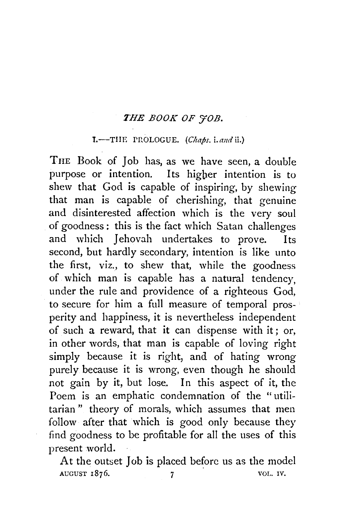## **THE BOOK OF 'HOB.**

## $I.$ —THE PROLOGUE. (Chaps. i. and ii.)

THE Book of Job has, as we have seen, a double purpose or intention. Its higher intention is to shew that God is capable of inspiring, by shewing that man is capable of cherishing, that genuine and disinterested affection which is the very soul of goodness : this is the fact which Satan challenges and which Jehovah undertakes to prove. Its second, but hardly secondary, intention is like unto the first, viz., to shew that, while the goodness of which man is capable has a natural tendency, under the rule and providence of a righteous God, to secure for him a full measure of temporal prosperity and happiness, it is nevertheless independent of such a reward, that it can dispense with it; or, in other words, that man is capable of loving right simply because it is right, and of hating wrong purely because it is wrong, even though he should not gain by it, but lose. In this aspect of it, the Poem is an emphatic condemnation of the "utilitarian " theory of morals, which assumes that men follow after that which is good only because they find goodness to be profitable for all the uses of this present world.

At the outset Job is placed before us as the model AUGUST 1876. 7 7 VOL. IV.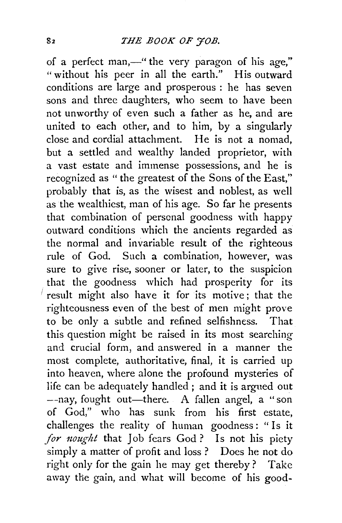of a perfect man,—" the very paragon of his age," "without his peer in all the earth." His outward conditions are large and prosperous : he has seven sons and three daughters, who seem to have been not unworthy of even such a father as he, and are united to each other, and to him, by a singularly close and cordial attachment. He is not a nomad, but a settled and wealthy landed proprietor, with a vast estate and immense possessions, and he is recognized as " the greatest of the Sons of the East," probably that is, as the wisest and noblest, as well as the wealthiest, man of his age. So far he presents that combination of personal goodness with happy outward conditions which the ancients regarded as the normal and invariable result of the righteous rule of God. Such a combination, however, was sure to give rise, sooner or later, to the suspicion that the goodness which had prosperity for its  $\prime$  result might also have it for its motive; that the righteousness even of the best of men might prove to be only a subtle and refined selfishness. That this question might be raised in its most searching and crucial form, and answered in a manner the most complete, authoritative, final, it is carried up into heaven, where alone the profound mysteries of life can be adequately handled ; and it is argued out --nay, fought out—there. A fallen angel, a "son of God," who has sunk from his first estate, challenges the reality of human goodness : " Is it *for nought* that Job fears God? Is not his piety simply a matter of profit and loss ? Does he not do right only for the gain he may get thereby? Take away the gain, and what will become of his good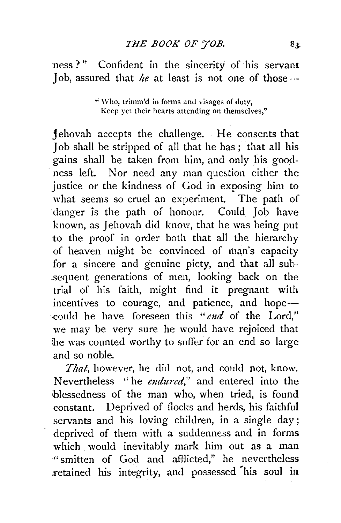ness ?" Confident in the sincerity of his servant Job, assured that *he* at least is not one of those---

> "\Yho, trimm'd in forms and visages of duty, Keep yet their hearts attending on themselves."

j ehovah accepts the challenge. He consents that Job shall be stripped of all that he has ; that all his gains shall be taken from him, and only his good ness left. Nor need any man question either the justice or the kindness of God in exposing him to what seems so cruel an experiment. The path of danger is the path of honour. Could Job have known, as Jehovah did know, that he was being put to the proof in order both that all the hierarchy of heaven might be convinced of man's capacity for a sincere and genuine piety, and that all sub- .sequent generations of men, looking back on the trial of his faith, might find it pregnant with incentives to courage, and patience, and hope---could he have foreseen this *"end* of the Lord," we may be very sure he would have rejoiced that ihe was counted worthy to suffer for an end so large and so noble.

That, however, he did not, and could not, know. Nevertheless "he *endured*," and entered into the 'blessedness of the man who, when tried, is found constant. Deprived of Hocks and herds, his faithful servants and his loving children, in a single day ; deprived of them with a suddenness and in forms which would inevitably mark him out as a man " smitten of God and afflicted," he nevertheless .retained his integrity, and possessed 'his soul in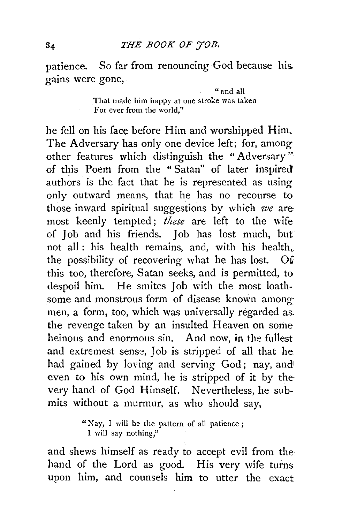patience. So far from renouncing God because his. gains were gone,

> "and all That made him happy at one stroke was taken For ever from the world,''

he fell on his face before Him and worshipped Him\_ The Adversary has only one device left; for, among other features which distinguish the "Adversary" of this Poem from the " Satan" of later inspired authors is the fact that he is represented as using only outward means, that he has no recourse to those inward spiritual suggestions by which *we* are: most keenly tempted; *these* are left to the wife of Job and his friends. Job has lost much, but not all : his health remains, and, with his health,. the possibility of recovering what he has lost. 0£ this too, therefore, Satan seeks, and is permitted, to despoil him. He smites Job with the most loathsome and monstrous form of disease known amongmen, a form, too, which was universally regarded as. the revenge taken by an insulted Heaven on some heinous and enormous sin. And now, in the fullest and extremest sense, Job is stripped of all that he had gained by loving and serving God; nay, and even to his own mind, he is stripped of it by the very hand of God Himself. Nevertheless, he submits without a murmur, as who should say,

> "Nay, I will be the pattern of all patience ; I will say nothing,"

and shews himself as ready to accept evil from the hand of the Lord as good. His very wife turns upon him, and counsels him to utter the exact: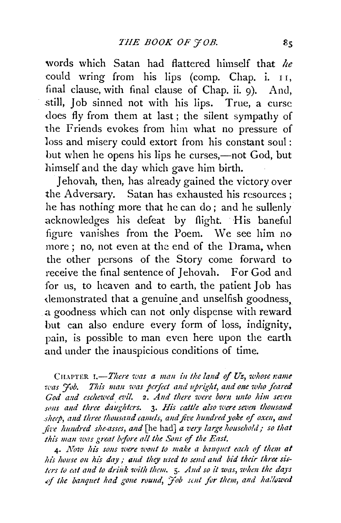words which Satan had flattered himself that *he*  could wring from his lips (comp. Chap. i. 11, final clause with final clause of Chap. ii. 9). And, still, Job sinned not with his lips. True, a curse does fly from them at last; the silent sympathy of the Friends evokes from him what no pressure of loss and misery could extort from his constant soul : but when he opens his lips he curses,—not God, but himself and the day which gave him birth.

Jehovah, then, has already gained the victory over the Adversary. Satan has exhausted his resources ; he has nothing more that he can do ; and he sullenly acknowledges his defeat by flight. His baneful figure vanishes from the Poem. \Ve see him no more ; no, not even at the end of the Drama, when the other persons of the Story come forward to receive the final sentence of Jehovah. For God and for us, to heaven and to earth, the patient Job has demonstrated that a genuine and unselfish goodness. a goodness which can not only dispense with reward but can also endure every form of loss, indignity, pain, is possible to man even here upon the earth and under the inauspicious conditions of time.

CHAPTER **I.**-There was a man in the land of Uz, whose name *ruas 'Job. Tlti's man was peifect and upright, and one ·who feared God and eschewed evil.* 2. *And there were born unto him seven* sons and three daughtcrs. **3.** His cattle also were seven thousand sheep, and three thousand camels, and five hundred yoke of oxen, and *five hundred she-asses, and* [he had] *a very large household; so that this man was great before all the Sons of the East.* 

4· *1\'ow Ius sons 1oere 1c'IJ!lf to make a banquet eaclt of them at his house on his day; and they used to send and bid their three sislers to eat and to drink with them.*  $5$ *. And so it was, when the days* .~.:f *the banquet had gone round, 'Job soil for tlum, and ha.'lowcd*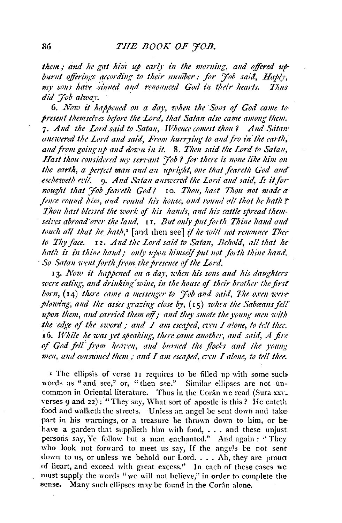them; and he gat him up early in the morning, and offered upburnt offerings according to their number: for *Yob said*, Haply, *my so1u ha7't sinned and renounced God t'n tlteir hearts. Tlms*   $\overline{did}$  *Fob alway*.

6. *1Vow it happmed on a daJ•, 'lC'hm the Sons* of *God came to· presmt themseh•es btfore the Lord, that Satan also came among them.*  7· *A1td the Lord said to Satan, TVhmce comes! t/wu? And Sarmr*  answered the Lord and said, From hurrying to and fro in the earth, and from going up and down in it. 8. Then said the Lord to Satan. Hast thou considered my servant 'Fob ? for there is none like him on *the earth, a perfect man and an upright, one that feareth God and esclteweth en!.* 9· *And Satan am1c•ered the Lord and said, Is* it *for nought that Fob fearcth God?* 10. Thou, hast Thou not made a *fence round him, and round his house, and round all that he hath?* Thou hast blessed the work of his hands, and his cattle spread them*sekes abroad oz•er !tie land.* I 1. *But only put for lit Thine ltand and· touch all that he hath,<sup>1</sup>* [and then see] if he will not renounce Thee to Thy face. **I2.** And the Lord said to Satan, Behold, all that he *hath* is in thine hand: only upon himself put not forth thine hand. · *So Satan wmt forth from t/u presmce* of *the Lord.* 

13. *Jllow it happmed on a day, zc•hm his sons and his daughters tere eating, and drinking wine, in the house of their brother the first born,* (14) *there came a messenger to '7 ob and said, The oxen were j>/owing, and the asses gra:::ing dose b)•,* (I 5) *whm the Sabaans felt*  whon them, and carried them off; and they smote the young men with  $the$   $edge$  of the sword; and  $I$  am escaped, even  $I$  alone, to tell thee. 16. *While he was yet speaking, there came another, and said, A fire* of God fell from heaven, and burned the flocks and the young *men, and consumed them ; and I am escaped, even I alone, to tell thee.* 

 $\overline{P}$  The ellipsis of verse 11 requires to be filled up with some such words as "and see," or, "then see." Similar ellipses are not uncommon in Oriental literature. Thus in the Corân we read (Sura xxv. verses 9 and 22): "They say, What sort of apostle is this? He eateth food and walketh the streets. Unless an angel be sent down and take part in his warnings, or a treasure be thrown down to him, or hehave a garden that supplieth him with food, •.. and these unjust. persons say, Ye follow but a man enchanted." And again: "They who look not forward to meet us say, If the angels be not sent down to us, or unless we behold our Lord. . . . Ah, they are proud of heart, and exceed with great excess." In each of these cases we must supply the words "we will not believe," in order to complete the sense. Many such ellipses may be found in the Corân alone.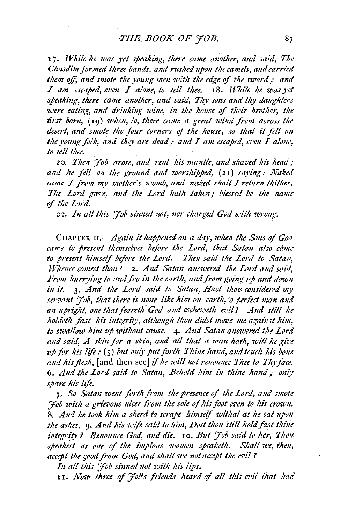17. *While he was yet speaking, there came another, and said, The Chasdim formed three bands, and rushed upon the camels, and carried*  them off, and smote the young men with the edge of the sword: and *I* am escaped, even *I* alone, to tell thee. 18. *While he was vet* speaking, there came another, and said, Thy sons and thy daughters *were eating, and drinking wine, in the house of their brother, the first born,* (19) *when, lo, there came a great wind from across the* desert, and smote the four corners of the house, so that it fell on the young folk, and they are dead; and I am escaped, even I alone, *to tell thee.* 

20. *Then 'Fob arose, and rent his mantle, and shaved his head*; and he fell on the ground and worshipped, (21) saying: Naked *came I from my mother's womb, and naked shall I return thither.* The Lord gave, and the Lord hath taken; blessed be the name of *the Lord*.

22. In all this '*Hob sinned not, nor charged God with wrong*.

CHAPTER *H.-Again it happened* 011 *a da)•, u•hm the Sons* if *Goa*  came to present themselves before the Lord, that Satan also came *to presmt himself before the Lord. Then said the Lord to Satan, TFtience comes/ tltou?* · 2~ *And Satan answered the Lord and satil, From hurrying to and fro in the earth, and from going up and down in it.* 3· *And the Lord said to Satan, Hast thou considered my*  servant '*Hob, that there is none like him on earth, a perfect man and an upright, one that feantlt- God and escheweth a•il? And sti'll he*  holdeth fast his integrity, although thou didst move me against him, to swallow him up without cause. 4. And Satan answered the Lord and said, A skin for a skin, and all that a man hath, will he give *up for his life:* (5) *but only put forth Thine hand, and touch his bone*  and his flesh, [and then see] if he will not renounce Thee to Thy face. 6. And the Lord said to Satan, Behold him in thine hand; only spare his life.

7. *So Satan u•mt forth from lite presence* if *lite Lord, and smote 'Fob with a grievous ulcer from the sole of his foot even to his crown.* 8. And he took him a sherd to scrape limself withal as he sat upon the ashes. **9.** And his wife said to him, Dost thou still hold fast thine *integrity? Renounce God, a11d die.* 10. *But 'Job said to he;., Thou*  speakest as one of the *impious women speaketh*. Shall we, then, *accept the good from God, and shall we not accept the evil ?* 

*In all this 'Job sinned 11ot witlt* /:is *lips.* 

11. Now three of *'Hob's friends heard of all this evil that had*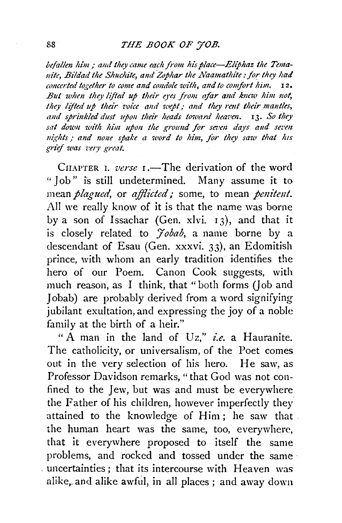befallen him : and they came each from his place—Eliphaz the Temanite, Bildad the Shuchite, and Zophar the Naamathite : for they had *concerted together to come and condole with, and to comfort him.* 12. But when they lifted up their eyes from afar and knew him not, they lifted up their voice and wept; and they rent their mantles, and sprinkled dust upon their heads toward heaven. 13. So they sat down with him upon the ground for seven days and seven nights; and none spake a word to him, for they saw that his *grief was z•ery great.* 

CHAPTER I. *verse* **I**. The derivation of the word "Job'' is still undetermined. Many assume it to mean *plagued*, or *afflicted*; some, to mean *penitent*. All we really know of it is that the name was borne by a son of Issachar (Gen. xlvi. 13), and that it is closely related to *Jobab*, a name borne by a descendant of Esau (Gen. xxxvi. 33), an Edomitish prince, with whom an early tradition identifies the hero of our Poem. Canon Cook suggests, with much reason, as I think, that "both forms (Job and Jobab) are probably derived from a word signifying jubilant exultation, and expressing the joy of a noble family at the birth of a heir."

" A man in the land of  $Uz$ ," *i.e.* a Hauranite. The catholicity, or universalism, of the Poet comes out in the very selection of his hero. He saw, as Professor Davidson remarks, "that God was not confined to the Jew, but was and must be everywhere the Father of his children, however imperfectly they attained to the knowledge of Him; he saw that the human heart was the same, too, everywhere, that it everywhere proposed to itself the same problems, and rocked and tossed under the same · . uncertainties; that its intercourse with Heaven was alike, and alike awful, in all places ; and away down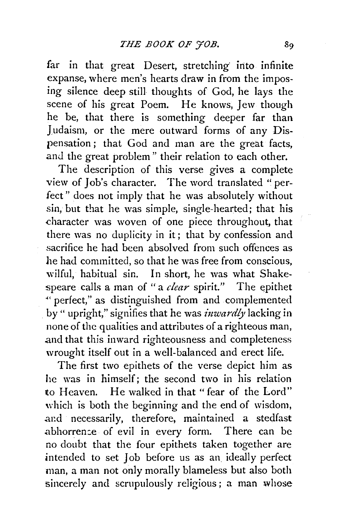far in that great Desert, stretching into infinite expanse, where men's hearts draw in from the imposing silence deep still thoughts of God, he lays the scene of his great Poem. He knows, Jew though he be, that there is something deeper far than Judaism, or the mere outward forms of any Dispensation ; that God and man are the great facts, and the great problem" their relation to each other.

The description of this verse gives a complete view of Job's character. The word translated "perfect" does not imply that he was absolutely without sin, but that he was simple, single-hearted; that his character was woven of one piece throughout, that there was no duplicity in it; that by confession and .sacrifice he had been absolved from such offences as he had committed, so that he was free from conscious, wilful, habitual sin. In short, he was what Shakespeare calls a man of "a *clear* spirit." The epithet " perfect," as distinguished from and complemented by " upright," signifies that he was *inwardly* lacking in none of the qualities and attributes of a righteous man, and that this inward righteousness and completeness wrought itself out in a well-balanced and erect life.

The first two epithets of the verse depict him as he was in himself; the second two in his relation to Heaven. He walked in that" fear of the Lord" which is both the beginning and the end of wisdom, and necessarily, therefore, maintained a stedfast .abhorren:e of evil in every form. There can be no doubt that the four epithets taken together are .intended to set Job before us as an ideally perfect man, a man not only morally blameless but also both sincerely and scrupulously religious; a man whose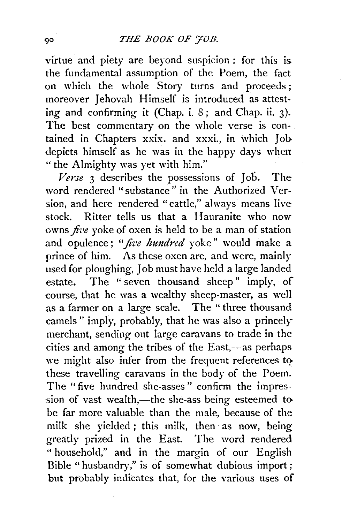virtue and piety are beyond suspicion : for this is. the fundamental assumption of the Poem, the fact on which the whole Story turns and proceeds; moreover Jehovah Himself is introduced as attesting and confirming it (Chap. i.  $8$ ; and Chap. ii. 3). The best commentary on the whole verse is contained in Chapters xxix. and xxxi., in which Job. depicts himself as he was in the happy days when " the Almighty was yet with him."

*Verse* 3 describes the possessions of Job. The word rendered "substance" in the Authorized Version, and here rendered "cattle," always means live stock. Ritter tells us that a Hauranite who now owns *five* voke of oxen is held to be a man of station and opulence; "*five hundred* voke" would make a prince of him. As these oxen are, and were, mainly used for ploughing, Job must have held a large landed estate. The " seven thousand sheep" imply, of course, that he was a wealthy sheep-master, as well as a farmer on a large scale. The " three thousand camels" imply, probably, that he was also a princely merchant, sending out large caravans to trade in the cities and among the tribes of the East,-as perhaps we might also infer from the frequent references to these travelling caravans in the body of the Poem. The "five hundred she-asses" confirm the impression of vast wealth,—the she-ass being esteemed to be far more valuable than the male, because of the milk she yielded; this milk, then as now, being greatly prized in the East. The word rendered " household," and in the margin of our English Bible "husbandry," is of somewhat dubious import; but probably indicates that, for the various uses of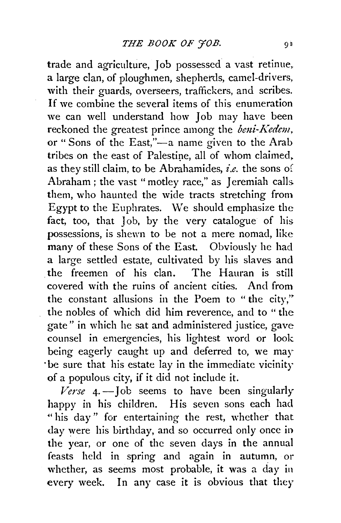trade and agriculture, Job possessed a vast retinue. a large clan, of ploughmen, shepherds, camel-drivers, with their guards, overseers, traffickers, and scribes. If we combine the several items of this enumeration we can well understand how Job may have been reckoned the greatest prince among the *beni-Kedem*, or "Sons of the East,"-a name given to the Arab tribes on the east of Palestine, all of whom claimed, as they still claim, to be Abrahamides, *i.e.* the sons of Abraham ; the vast "motley race," as Jeremiah calls. them, who haunted the wide tracts stretching from Egypt to the Euphrates. We should emphasize the fact, too, that Job, by the very catalogue of his possessions, is shewn to be not a mere nomad, like many of these Sons of the East. Obviously he had a large settled estate, cultivated by his slaves and . the freemen of his clan. The Hauran is still covered with the ruins of ancient cities. And from the constant allusions in the Poem to " the city," the nobles of which did him reverence, and to "the gate" in which he sat and administered justice, gave counsel in emergencies, his lightest word or look being eagerly caught up and deferred to, we may ·be sure that his estate lay in the immediate vicinity of a populous city, if it did not include it.

*Verse* 4· -Job seems to have been singularly happy in his children. His seven sons each had "his day" for entertaining the rest, whether that day *were* his birthday, and so occurred only once in the year, or one of the seven days in the annual feasts held in spring and again in autumn, or whether, as seems most probable, it was a day in every week. In any case it is obvious that they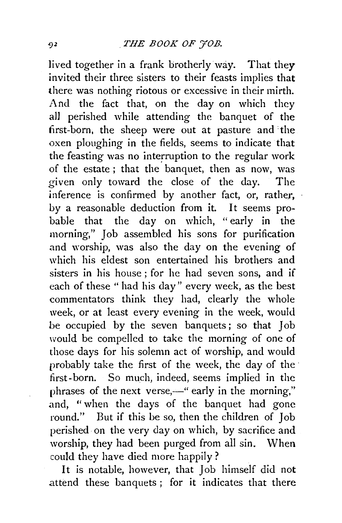lived together in a frank brotherly way. That they invited their three sisters to their feasts implies that there was nothing riotous or excessive in their mirth. And the fact that, on the day on which they aU perished while attending the banquet of the first-born, the sheep were out at pasture and the oxen ploughing in the fields, seems to indicate that the feasting was no interruption to the regular work of the estate; that the banquet, then as now, was given only toward the close of the day. The  $inference$  is confirmed by another fact, or, rather, by a reasonable deduction from it. It seems probable that the day on which, "early in the morning," Job assembled his sons for purification and worship, was also the day on the evening of which his eldest son entertained his brothers and sisters in his house ; for he had seven sons, and if each of these " had his day" every week, as the best commentators think they had, clearly the whole week, or at least every evening in the week, would be occupied by the seven banquets ; so that Job would be compelled to take the morning of one of those days for his solemn act of worship, and would probably take the first of the week, the day of the · first-born. So much, indeed, seems implied in the phrases of the next verse,—" early in the morning," and, "when the days of the banquet had gone round." But if this be so, then the children of Job perished on the very day on which, by sacrifice and worship, they had been purged from all sin. When could they have died more happily?

It is notable, however, that Job himself did not .attend these banquets ; for it indicates that there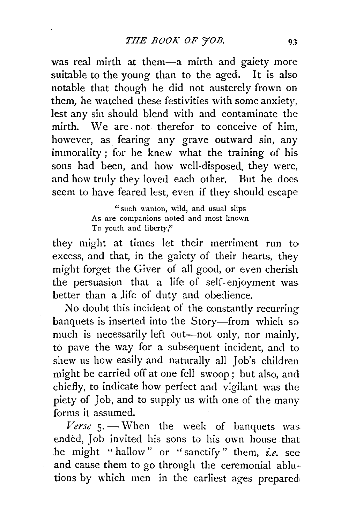was real mirth at them-a mirth and gaiety more suitable to the young than to the aged. It is also notable that though he did not austerely frown on them, he watched these festivities with some anxiety, lest any sin should blend with and contaminate the mirth. We are. not therefor to conceive of him, however, as fearing any grave outward sin, any immorality ; for he knew what the training of his sons had been, and how well-disposed. they were, and how truly they loved each other. But he does seem to have feared lest, even if they should escape

> "such wanton, wild, and usual slips As are companions noted and most known To youth and liberty,"

they might at times let their merriment run to excess, and that, in the gaiety of their hearts, they might forget the Giver of all good, or even cherish the persuasion that a life of self-enjoyment was better than a life of duty and obedience.

No doubt this incident of the constantly recurring banquets is inserted into the Story-from which so much is necessarily left out-not only, nor mainly, to pave the way for a subsequent incident, and to shew us how easily and naturally all Job's children might be carried off at one fell swoop ; but also, and chiefly, to indicate how perfect and vigilant was the piety of Job, and to supply us with one of the many forms it assumed.

Verse 5. - When the week of banquets was. ended, Job invited his sons to his own house that he might " hallow" or "sanctify " them, *i.e.* see and cause them to go through the ceremonial ablutions by which men in the earliest ages prepared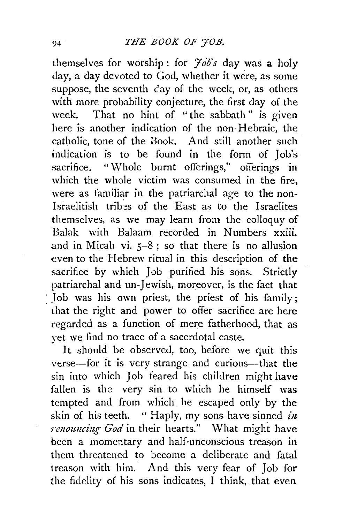themselves for worship: for  $\frac{\partial^2}{\partial s^2}$  day was a holy day, a day devoted to God, whether it were, as some suppose, the seventh  $c$  ay of the week, or, as others with more probability conjecture, the first day of the week. That no hint of "the sabbath" is given here is another indication of the non-Hebraic, the catholic, tone of the Book. And still another such indication is to be found in the form of Job's sacrifice. "Whole burnt offerings," offerings in which the whole victim was consumed in the fire. were as familiar in the patriarchal age to the non-Israelitish trib~s of the East as to the Israelites themselves, as we may learn from the colloquy of Balak with Balaam recorded in Numbers xxiii . and in Micah vi.  $5-8$ ; so that there is no allusion even to the Hebrew ritual in this description of the sacrifice by which Job purified his sons. Strictly patriarchal and un-Jewish, moreover, is the fact that Job was his own priest, the priest of his family; that the right and power to offer sacrifice are here regarded as a function of mere fatherhood, that as yet we find no trace of a sacerdotal caste.

It should be observed, too, before we quit this verse-for it is very strange and curious-that the sin into which Job feared his children might have fallen is the very sin to which he himself was tempted and from which he escaped only by the skin of his teeth. " Haply, my sons have sinned *iu. renouncing God* in their hearts." What might have been a momentary and half-unconscious treason in them threatened to become a deliberate and fatal treason with him. And this very fear of Job for the fidelity of his sons indicates, I think, that even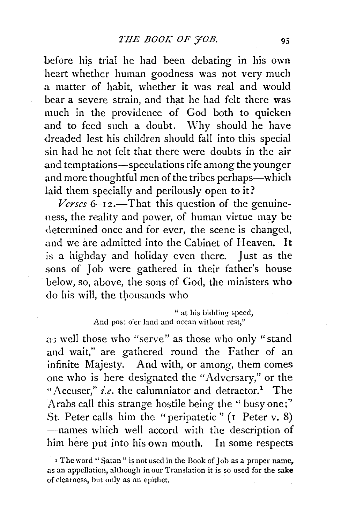before his trial he had been debating in his own heart whether human goodness was not very much .a matter of habit, whether it was real and would bear a severe strain, and that he had felt there was much in the providence of God both to quicken and to feed such a doubt. Why should he have dreaded lest his children should fall into this special sin had he not felt that there were doubts in the air and temptations-speculations rife among the younger and more thoughtful men of the tribes perhaps-which laid them specially and perilously open to it?

*Verses* 6–12.—That this question of the genuineness, the reality and power, of human virtue may be determined once and for ever, the scene is changed, and we are admitted into the Cabinet of Heaven. It is a highday and holiday even there. Just as the sons of Job were gathered in their father's house below, so, above, the sons of God, the ministers who do his will, the thousands who

## " at his bidding speed, And post o'er land and ocean without rest,"

as well those who "serve" as those who only "stand and wait," are gathered round the Father of an infinite Majesty. And with, or among, them comes one who is here designated the "Adversary," or the "Accuser," *i.e.* the calumniator and detractor.<sup>1</sup> The Arabs call this strange hostile being the " busy one;'' St. Peter calls him the "peripatetic" (1 Peter v. 8) -names which well accord with the description of him here put into his own mouth. In some respects

<sup>•</sup> The word "Satan" is not used in the Book of Job as a proper name, as an appellation, although in our Translation it is so used for the sake of clearness, but only as an epithet.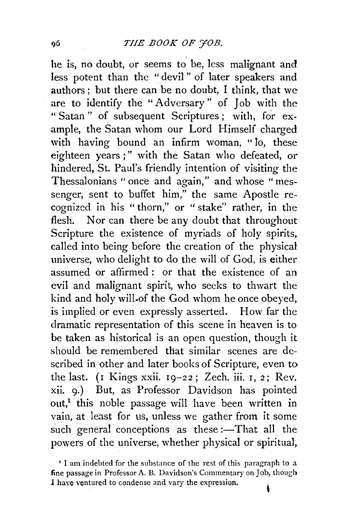he is, no doubt, or seems to be, less malignant and less potent than the " devil " of later speakers and authors ; but there can be no doubt, I think, that we are to identify the "Adversary" of Job with the " Satan " of subsequent Scriptures ; with, for example, the Satan whom our Lord Himself charged with having bound an infirm woman, " lo, these eighteen years;" with the Satan who defeated, or hindered, St. Paul's friendly intention of visiting the Thessalonians "once and again," and whose "messenger, sent to buffet him," the same Apostle recognized in his " thorn," or " stake" rather, in the flesh. Nor can there be any doubt that throughout Scripture the existence of myriads of holy spirits. called into being before the creation of the physical universe, who delight to do the will of God, is either assumed or affirmed : or that the existence of an evil and malignant spirit, who seeks to thwart the kind and holy will.of the God whom he once obeyed. is implied or even expressly asserted. How far the dramatic representation of this scene in heaven is to be taken as historical is an open question, though it should be remembered that similar scenes are described in other and later books of Scripture, even to the last. (r Kings xxii. 19-22; Zech. iii. 1, 2; Rev. xii. 9·) But, as Professor Davidson has pointed out,<sup>1</sup> this noble passage will have been written in vain, at least for us, unless we gather from it some such general conceptions as these :- That all the powers of the universe, whether physical or spiritual.

<sup>&#</sup>x27; I am indebted for the substance of the rest of this paragraph to a fine passage in Professor A. B. Davidson's Commentary on Job, though I have ventured to condense and vary the expression.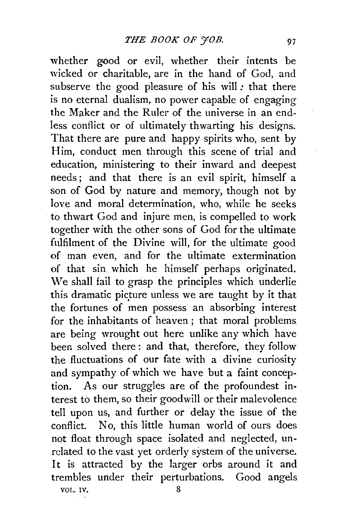whether good or evil, whether their intents be wicked or charitable, are in the hand of God, and subserve the good pleasure of his will: that there is no eternal dualism, no power capable of engaging the Maker and the Ruler of the universe in an endless conflict or of ultimately thwarting his designs. That there are pure and happy spirits who, sent by Him, conduct men through this scene of trial and education, ministering to their inward and deepest needs; and that there is an evil spirit, himself a son of God by nature and memory, though not by love and moral determination, who, while he seeks to thwart God and injure men, is compelled to work together with the other sons of God for the ultimate fulfilment of the Divine will, for the ultimate good of man even, and for the ultimate extermination of that sin which he himself perhaps originated. We shall fail to grasp the principles which underlie this dramatic picture unless we are taught by it that the fortunes of men possess an absorbing interest for the inhabitants of heaven ; that moral problems are being wrought out here unlike any which have been solved there : and that, therefore, they follow the fluctuations of our fate with a divine curiosity and sympathy of which we have but a faint conception. As our struggles are of the profoundest interest to them, so their goodwill or their malevolence tell upon us, and further or delay the issue of the conflict. No, this little human world of ours does not float through space isolated and neglected, unrelated to the vast yet orderly system of the universe. It is attracted by the larger orbs around it and trembles under their perturbations. Good angels VOL. IV. 8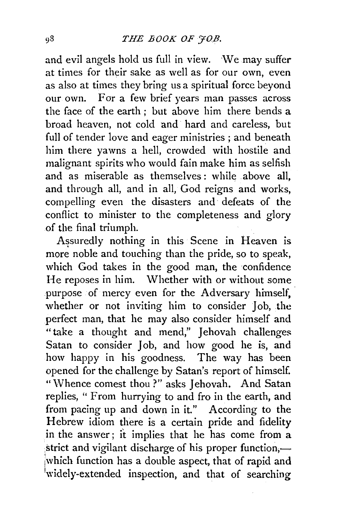and evil angels hold us full in view. We may suffer at times for their sake as well as for our own, even as also at times they bring us a spiritual force beyond our own. For a few brief years man passes across the face of the earth ; but above him there bends a broad heaven, not cold and hard and careless, but full of tender love and eager ministries ; and beneath him there yawns a hell, crowded with hostile and malignant spirits who would fain make him as selfish and as miserable as themselves : while above all, and through all, and in all, God reigns and works, compelling even the disasters and defeats of the conflict to minister to the completeness and glory of the final triumph.

Assuredly nothing in this Scene in Heaven is more noble and touching than the pride, so to speak, which God takes in the good man, the confidence He reposes in him. Whether with or without some purpose of mercy even for the Adversary himself. whether or not inviting him to consider Iob, the perfect man, that he may also consider himself and " take a thought and mend," Jehovah challenges Satan to consider Job, and how good he is, and how happy in his goodness. The way has been opened for the challenge by Satan's report of himself. "Whence comest thou?" asks Jehovah. And Satan replies, " From hurrying to and fro in the earth, and from pacing up and down in it." According to the Hebrew idiom there is a certain pride and fidelity in the answer; it implies that he has come from a strict and vigilant discharge of his proper function,jwhich function has a double aspect, that of rapid and widely-extended inspection, and that of searching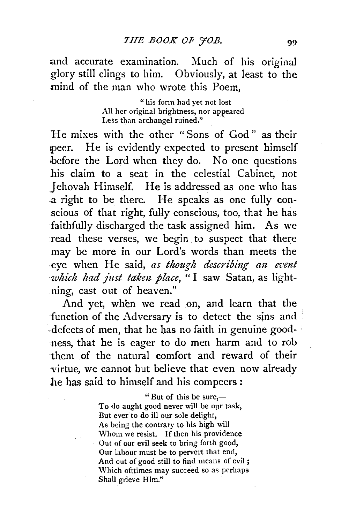and accurate examination. Much of his original glory still clings to him. Obviously, at least to the mind of the man who wrote this Poem,

> "his form had yet not lost All her original brightness, nor appeared Less than archangel ruined."

He mixes with the other "Sons of God" as their peer. He is evidently expected to present himself before the Lord when they do. No one questions his claim to a seat in the celestial Cabinet, not Jehovah Himself. He is addressed as one who has .a right to be there. He speaks as one fully con scious of that right, fully conscious, too, that he has faithfully discharged the task assigned him. As we read these verses, we begin to suspect that there may be more in our Lord's words than meets the -eye when He said, *as though describiug au. evmt which had just taken place*, "I saw Satan, as light--ning, cast out of heaven."

And yet, when we read on, and learn that the function of the Adversary is to detect the sins and defects of men, that he has no faith in genuine good-·ness, that he is eager to do men harm and to rob -them of the natural comfort and reward of their virtue, we cannot but believe that even now already \_he has said to himself and his compeers:

> "But of this be sure, $-$ To do aught good never will be our task, But ever to do ill our sole delight, As being the contrary to his high will Whom we resist. If then his providence Out of our evil seek to bring forth good, Our labour must be to pervert that end, And out of good still to find means of evil ; Which ofttimes may succeed so as perhaps Shall grieve Him."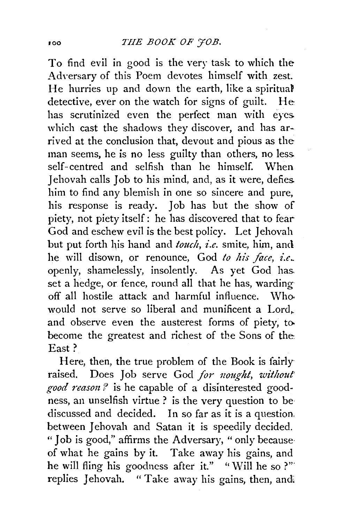To find evil in good is the very task to which the Adversary of this Poem devotes himself with zest. He hurries up and down the earth, like a spiritual detective, ever on the watch for signs of guilt. He has scrutinized even the perfect man with eyes. which cast the shadows they discover, and has arrived at the conclusion that, devout and pious as the man seems, he is no less guilty than others, no less. self- centred and selfish than he himself. When Jehovah calls Job to his mind, and, as it were, defies. him to find any blemish in one so sincere and pure, his response is ready. Job has but the show of piety, not piety itself: he has discovered that to fear-God and eschew evil is the best policy. Let Jehovah but put forth his hand and *touch, i.e.* smite, him, and he will disown, or renounce, God to his face, i.e. openly, shamelessly, insolently. As yet God has. set a hedge, or fence, round all that he has, warding off all hostile attack and harmful influence. Who. would not serve so liberal and munificent a Lord. and observe even the austerest forms of piety, to. become the greatest and richest of the Sons of the East?

Here, then, the true problem of the Book is fairlyraised. Does Job serve God for nought, without *good reaso1t?* is he capable of a disinterested goodness, an unselfish virtue ? is the very question to be· discussed and decided. In so far as it is a question. between Jehovah and Satan it is speedily decided. " Job is good," affirms the Adversary, " only because· of what he gains by it. Take away his gains, and he will fling his goodness after it." "Will he so ?" replies Jehovah. "Take away his gains, then, and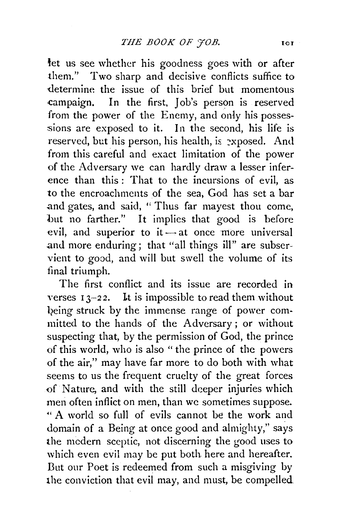thet us see whether his goodness goes with or after them." Two sharp and decisive conflicts suffice to -determine the issue of this brief but momentous .campaign. In the first, Job's person is reserved from the power of the Enemy, and only his possessions are exposed to it. In the second, his life is reserved, but his person, his health, is perposed. And from this careful and exact limitation of the power of the Adversary we can hardly draw a lesser inference than this: That to the incursions of evil, as to the encroachments of the sea, God has set a bar .and gates, and said, " Thus far mayest thou come, but no farther." It implies that good is before evil, and superior to it  $-$  at once more universal .and more enduring; that "all things ill" are subservient to good, and will but swell the volume of its final triumph.

The first conflict and its issue are recorded in verses  $13-22$ . It is impossible to read them without being struck by the immense range of power committed to the hands of the Adversary ; or without suspecting that, by the permission of God, the prince of this world, who is also " the prince of the powers of the air," may have far more to do both with what seems to us the frequent cruelty of the great forces of Nature, and with the still deeper injuries which men often inflict on men, than we sometimes suppose. " A world so full of evils cannot be the work and domain of a Being at once good and almighty," says the mcdern sceptic, not discerning the good uses to which even evil may be put both here and hereafter. But our Poet is redeemed from such a misgiving by the conviction that evil may, and must, be compelled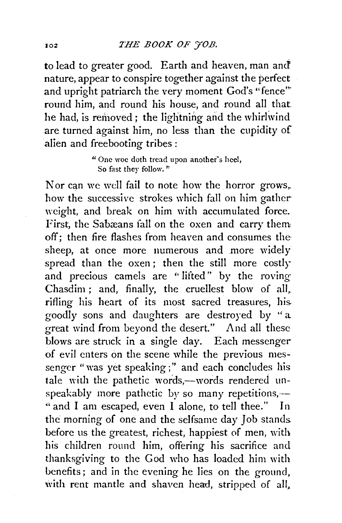to lead to greater good. Earth and heaven, man and' nature, appear to conspire together against the perfect and upright patriarch the very moment God's "fence" round him, and round his house, and round all that he had, is removed; the lightning and the whirlwind are turned against him, no less than the cupidity of alien and freebooting tribes :

> "One woe doth tread upon another"s heel, So fast they follow. "

Nor can we well fail to note how the horror grows, how the successive strokes which fall on him gather weight, and break on him with accumulated force. First, the Sabæans fall on the oxen and carry them off; then fire flashes from heaven and consumes the sheep, at once more numerous and more widely spread than the oxen ; then the still more costly and precious camels are " lifted" by the roving Chasdim ; and, finally, the cruellest blow of all, rifling his heart of its most sacred treasures, his. goodly sons and daughters are destroyed by ''a great wind from beyond the desert." And all these blows are struck in a single day. Each messenger of evil enters on the scene while the previous messenger "was yet speaking;" and each concludes his tale with the pathetic words,-words rendered unspeakably more pathetic by so many repetitions,— " and I am escaped, even I alone, to tell thee." In the morning of one and the selfsame day Job stands. before us the greatest, richest, happiest of men, with his children round him, offering his sacrifice and thanksgiving to the God who has loaded him with benefits; and in the evening he lies on the ground, with rent mantle and shaven head, stripped of all,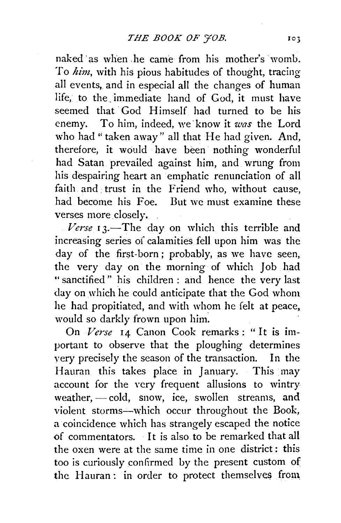naked ·as when .he came from his mother's womb. To *him,* with his pious habitudes of thought, tracing all events, and in especial all the changes of human life, to the immediate hand of God, it must have seemed that God Himself had turned to be his enemy. To him, indeed, we'know it *was* the Lord who had "taken away" all that He had given. And, therefore, it would have been nothing wonderful had Satan prevailed against him, and wrung from his despairing heart an emphatic renunciation of all faith and trust in the Friend who, without cause. had become his Foe. But we must examine these verses more closely.

Verse 13.-The day on which this terrible and increasing series of calamities fell upon him was the day of the first-born; probably, as we have seen, the very day on the morning of which Job had " sanctified " his children : and hence the very last day on which he could anticipate that the God whom he had propitiated, and with whom he felt at peace, would so darkly frown upon him.

On *Verse* 14 Canon Cook remarks: "It is important to observe that the ploughing determines very precisely the season of the transaction. In the Hauran this takes place in January. This may account for the very frequent allusions to wintry weather,  $\sim$  cold, snow, ice, swollen streams, and violent storms-which occur throughout the Book, a coincidence which has strangely escaped the notice of commentators. It is also to be remarked that all the oxen were at the same time in one district : this too is curiously confirmed by the present custom of the Hauran: in order to protect themselves from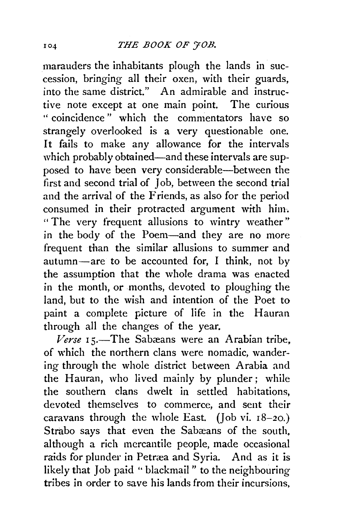marauders the inhabitants plough the lands in succession, bringing all their oxen, with their guards, into the same district." An admirable and instructive note except at one main point. The curious " coincidence" which the commentators have so strangely overlooked is a very questionable one. It fails to make any allowance for the intervals which probably obtained—and these intervals are supposed to have been very considerable-between the first and second trial of Job, between the second trial and the arrival of the Friends, as also for the period consumed in their protracted argument with him. " The very frequent allusions to wintry weather" in the body of the Poem-and they are no more frequent than the similar allusions to summer and  $autumn—are$  to be accounted for, I think, not by the assumption that the whole drama was enacted in the month, or months, devoted to ploughing the land, but to the wish and intention of the Poet to paint a complete picture of life in the Hauran through all the changes of the year.

Verse 15.-The Sabæans were an Arabian tribe, of which the northern clans were nomadic, wandering through the whole district between Arabia and the Hauran, who lived mainly by plunder; while the southern clans dwelt in settled habitations, devoted themselves to commerce, and sent their caravans through the whole East. (Job vi.  $18-20$ .) Strabo says that even the Sabæans of the south. although a rich mercantile people, made occasional raids for plunder in Petræa and Syria. And as it is likely that Job paid ''blackmail" to the neighbouring tribes in order to save his lands from their incursions,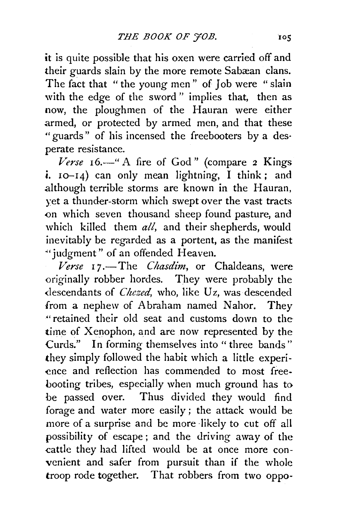it is quite possible that his oxen were carried off and their guards slain by the more remote Sabæan clans. The fact that " the young men" of Job were " slain with the edge of the sword" implies that, then as now, the ploughmen of the Hauran were either armed, or protected by armed men, and that these "guards" of his incensed the freebooters by a des· perate resistance.

*Verse* 16.-" A fire of God" (compare 2 Kings i. 10-14) can only mean lightning, I think; and although terrible storms are known in the Hauran, yet a thunder-storm which swept over the vast tracts <>n which seven thousand sheep found pasture, and which killed them *all,* and their shepherds, would inevitably be regarded as a portent, as the manifest "'judgment" of an offended Heaven.

*Verse* 1 7.-The *C hasdim,* or Chaldeans, were originally robber hordes. They were probably the descendants of *Chezed*, who, like Uz, was descended from a nephew of Abraham named Nahor. They •• retained their old seat and customs down to the· time of Xenophon, and are now represented by the Curds." In forming themselves into "three bands" they simply followed the habit which a little experience and reflection has commended to most freebooting tribes, especially when much ground has to be passed over. Thus divided they would find forage and water more easily ; the attack would be more of a surprise and be more likely to cut off all possibility of escape; and the driving away of the cattle they had lifted would be at once more convenient and safer from pursuit than if the whole troop rode together. That robbers from two oppo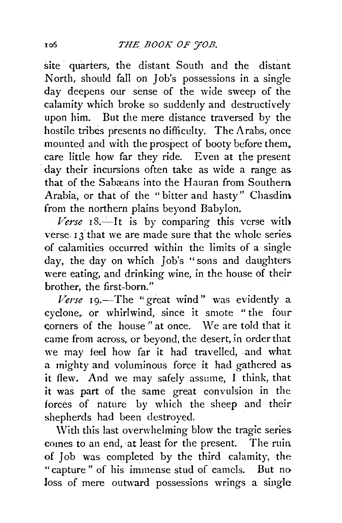site quarters, the distant South and the distant North, should fall on Job's possessions in a single day deepens our sense of the wide sweep of the calamity which broke so suddenly and destructively upon him. But the mere distance traversed by the hostile tribes presents no difficulty. The Arabs, once mounted and with the prospect of booty before them. care little how far they ride. Even at the present day their incursions often take as wide a range as that of the Sabæans into the Hauran from Southern Arabia, or that of the " bitter and hasty" Chasdim from the northern plains beyond Babylon.

 $18$ *.—It is by comparing this verse with* verse. I 3 that we are made sure that the whole series of calamities occurred within the limits of a single day, the day on which. Job's "sons and daughters were eating, and drinking wine, in the house of their brother, the first-born."

 $V$ erse  $I$ 9.—The "great wind" was evidently a cyclone,. or whirlwind, since it smote "the four corners of the house" at once. We are told that it came from across, or beyond, the desert, in order that we may feel how far it had travelled, and what a mighty and voluminous force it had gathered as it flew. And we may safely assume, I think, that it was part of the same great convulsion in the forces of nature by which the sheep and their shepherds had been destroyed.

With this last overwhelming blow the tragic series. comes to an end, at least for the present. The ruin. of Job was completed by the third calamity, the "capture " of his immense stud of camels. But no loss of mere outward possessions wrings a single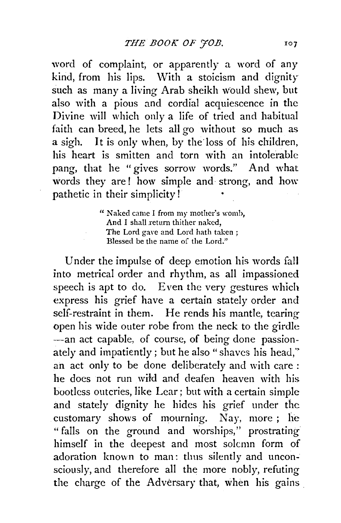word of complaint, or apparently a word of any  $kind$ , from his lips. With a stoicism and dignity such as many a living Arab sheikh would shew, but also with a pious and cordial acquiescence in the Divine will which only a life of tried and habitual faith can breed, he lets all go without so much as a sigh. It is only when, by the loss of his children, his heart is smitten and torn with an intolerable pang, that he "gives sorrow words." And what words they are! how simple and strong, and how pathetic in their simplicity!

> " Naked came I from my mother's womb, And I shall return thither naked, The Lord gave and Lord hath taken: Blessed be the name of the Lord."

Under the impulse of deep emotion his words fall into metrical order and rhythm, as all impassioned speech is apt to do. Even the very gestures which express his grief have a certain stately order and self-restraint in them. He rends his mantle, tearing open his wide outer robe from the neck to the girdle -- an act capable, of course, of being done passionately and impatiently; but he also "shaves his head,'' an act only to be done deliberately and with care : he does not run wild and deafen heaven with his bootless outcries, like Lear; but with a certain simple and stately dignity he hides his grief under the customary shows of mourning. Nay, more ; he "falls on the ground and worships," prostrating himself in the deepest and most solemn form of adoration known to man: thus silently and unconsciously, and therefore all the more nobly, refuting the charge of the Adversary that, when his gains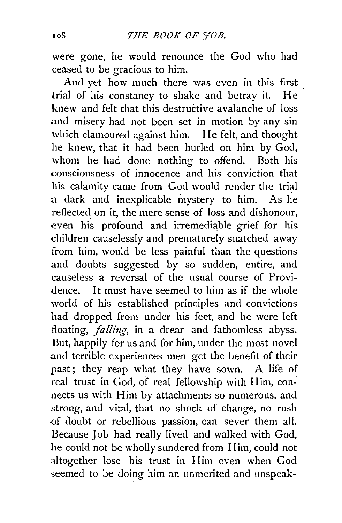were gone, he would renounce the God who had ceased to be gracious to him.

And yet how much there was even in this first trial of his constancy to shake and betray it. He knew and felt that this destructive avalanche of loss .and misery had not been set in motion by any sin which clamoured against him. He felt, and thought he knew, that it had been hurled on him by God, whom he had done nothing to offend. Both his consciousness of innocence and his conviction that his calamity came from God would render the trial a dark and inexplicable mystery to him. As he reflected on it, the mere sense of loss and dishonour, even his profound and irremediable grief for his children causelessly and prematurely snatched away from him, would be less painful than the questions and doubts suggested by so sudden, entire, and causeless a reversal of the usual course of Providence. It must have seemed to him as if the whole world of his established principles and convictions had dropped from under his feet, and he were left floating, *falling*, in a drear and fathomless abyss. But, happily for us and for him, under the most novel and terrible experiences men get the benefit of their past; they reap what they have sown. A life of real trust in God, of real fellowship with Him, connects us with Him by attachments so numerous, and strong, and vital, that no shock of change, no rush of doubt or rebellious passion, can sever them all. Because Job had really lived and walked with God, he could not be wholly sundered from Him, could not altogether lose his trust in Him even when God seemed to be doing him an unmerited and unspeak-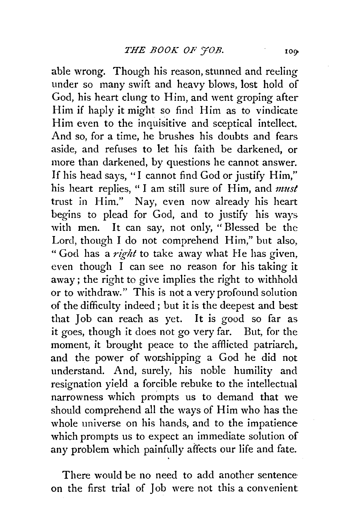able wrong. Though his reason, stunned and reeling under so many swift and heavy blows, lost hold of God, his heart clung to Him, and went groping after Him if haply it might so find Him as to vindicate Him even to the inquisitive and sceptical intellect. And so, for a time, he brushes his doubts and fears aside, and refuses to let his faith be darkened, or more than darkened, by questions he cannot answer. If his head says, "I cannot find God or justify Him," his heart replies, " I am still sure of Him, and *must*  trust in Him." Nay, even now already his heart begins to plead for God, and to justify his ways with men. It can say, not only, " Blessed be the Lord, though I do not comprehend Him," but also, "God has a *right* to take away what He has given, even though I can see no reason for his taking it away; the right to give implies the right to withhold or to withdraw." This is not a very profound solution of the difficulty indeed ; but it is the deepest and best that Job can reach as yet. It is good so far as it goes, though it does not go very far. But, for the moment, it brought peace to the afflicted patriarch. and the power of worshipping a God he did not understand. And, surely, his noble humility and resignation yield a forcible rebuke to the intellectual narrowness which prompts us to demand that we should comprehend all the ways of Him who has the whole universe on his hands, and to the impatience which prompts us to expect an immediate solution of any problem which painfully affects our life and fate.

There would be no need to add another sentence· on the first trial of Job were not this a convenient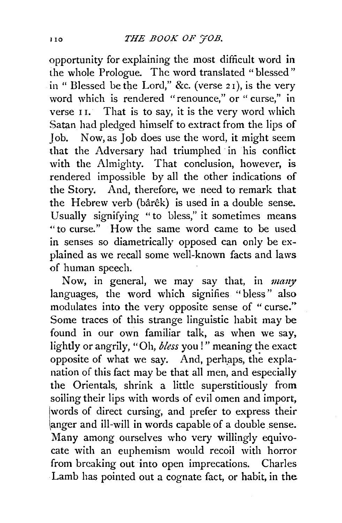opportunity for explaining the most difficult word in the whole Prologue. The word translated "blessed" in " Blessed be the Lord," &c. (verse 2 I), is the very word which is rendered "renounce," or " curse," in verse II. That is to say, it is the very word which Satan had pledged himself to extract from the lips of Job. Now, as Job does use the word, it might seem  $\frac{1}{1}$  that the Adversary had triumphed in his conflict with the Almighty. That conclusion, however, is rendered impossible by all the other indications of the Story. And, therefore, we need to remark that the Hebrew verb (bârêk) is used in a double sense. Usually signifying "to bless," it sometimes means "to curse." How the same word came to be used in senses so diametrically opposed can only be explained as we recall some well-known facts and laws of human speech.

Now, in general, we may say that, in *mauy*  languages, the word which signifies "bless" also modulates into the very opposite sense of " curse." Some traces of this strange linguistic habit may be found in our own familiar talk, as when we say, lightly or angrily, "Oh, *bless* you!" meaning the exact opposite of what we say. And, perh\_aps, the explanation of this fact may be that all men, and especially the Orientals, shrink a little superstitiously from soiling their lips with words of evil omen and import, words of direct cursing, and prefer to express their anger and ill-will in words capable of a double sense. Many among ourselves who very willingly equivocate with an euphemism would recoil with horror from breaking out into open imprecations. Charles Lamb has pointed out a cognate fact, or habit, in the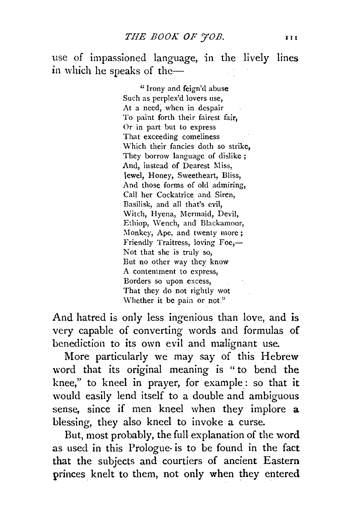use of impassioned language, in the lively lines in which he speaks of the-

> " Irony and feign'd abuse Such as pcrplex'd lovers use, At a need, when in despair To paint forth their fairest fair. Or in part but to express That exceeding comeliness Which their fancies doth so strike, They borrow language of dislike ; And, instead of Dearest Miss, Tewel, Honey, Sweetheart, Bliss, And those forms of old admiring, Call her Cockatrice and Siren, Basilisk, and all that's evil, Witch, Hyena, Mermaid, Devil, Ethiop, \Vench, and Blackamoor, Monkey, Ape, and twenty more; Friendly Traitress, loving Foe,-Not that she is truly so, But no other way they know A contentment to express, Borders so upon excess, That they do not rightly wot Whether it be pain or not."

And hatred is only less ingenious than love, and is very capable of converting words and formulas of benediction to its own evil and malignant use.

More particularly we may say of this Hebrew word that its original meaning is " to bend the knee," to kneel in prayer, for example: so that it would easily lend itself to a double and ambiguous sense, since if men kneel when they implore a blessing, they also kneel to invoke a curse.

But, most probably, the full explanation of the word as used in this Prologue· is to be found in the fact that the subjects and courtiers of ancient Eastern princes knelt to them, not only when they entered